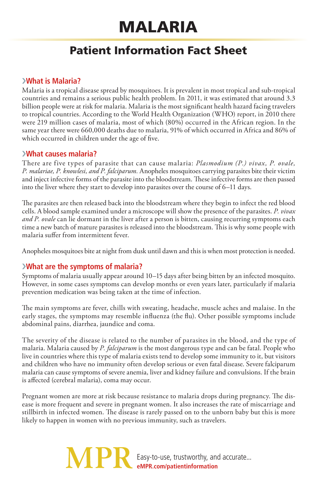# Malaria

# Patient Information Fact Sheet

# ›**What is Malaria?**

Malaria is a tropical disease spread by mosquitoes. It is prevalent in most tropical and sub-tropical countries and remains a serious public health problem. In 2011, it was estimated that around 3.3 billion people were at risk for malaria. Malaria is the most significant health hazard facing travelers to tropical countries. According to the World Health Organization (WHO) report, in 2010 there were 219 million cases of malaria, most of which (80%) occurred in the African region. In the same year there were 660,000 deaths due to malaria, 91% of which occurred in Africa and 86% of which occurred in children under the age of five.

### ›**What causes malaria?**

There are five types of parasite that can cause malaria: *Plasmodium (P.) vivax, P. ovale, P. malariae, P. knowlesi, and P. falciparum.* Anopheles mosquitoes carrying parasites bite their victim and inject infective forms of the parasite into the bloodstream. These infective forms are then passed into the liver where they start to develop into parasites over the course of 6–11 days.

The parasites are then released back into the bloodstream where they begin to infect the red blood cells. A blood sample examined under a microscope will show the presence of the parasites. *P. vivax and P. ovale* can lie dormant in the liver after a person is bitten, causing recurring symptoms each time a new batch of mature parasites is released into the bloodstream. This is why some people with malaria suffer from intermittent fever.

Anopheles mosquitoes bite at night from dusk until dawn and this is when most protection is needed.

## ›**What are the symptoms of malaria?**

Symptoms of malaria usually appear around 10–15 days after being bitten by an infected mosquito. However, in some cases symptoms can develop months or even years later, particularly if malaria prevention medication was being taken at the time of infection.

The main symptoms are fever, chills with sweating, headache, muscle aches and malaise. In the early stages, the symptoms may resemble influenza (the flu). Other possible symptoms include abdominal pains, diarrhea, jaundice and coma.

The severity of the disease is related to the number of parasites in the blood, and the type of malaria. Malaria caused by *P. falciparum* is the most dangerous type and can be fatal. People who live in countries where this type of malaria exists tend to develop some immunity to it, but visitors and children who have no immunity often develop serious or even fatal disease. Severe falciparum malaria can cause symptoms of severe anemia, liver and kidney failure and convulsions. If the brain is affected (cerebral malaria), coma may occur.

Pregnant women are more at risk because resistance to malaria drops during pregnancy. The disease is more frequent and severe in pregnant women. It also increases the rate of miscarriage and stillbirth in infected women. The disease is rarely passed on to the unborn baby but this is more likely to happen in women with no previous immunity, such as travelers.

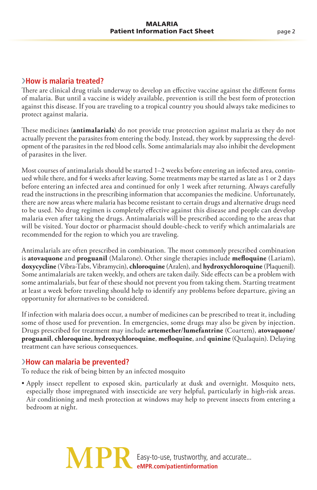#### ›**How is malaria treated?**

There are clinical drug trials underway to develop an effective vaccine against the different forms of malaria. But until a vaccine is widely available, prevention is still the best form of protection against this disease. If you are traveling to a tropical country you should always take medicines to protect against malaria.

These medicines (**antimalarials**) do not provide true protection against malaria as they do not actually prevent the parasites from entering the body. Instead, they work by suppressing the development of the parasites in the red blood cells. Some antimalarials may also inhibit the development of parasites in the liver.

Most courses of antimalarials should be started 1–2 weeks before entering an infected area, continued while there, and for 4 weeks after leaving. Some treatments may be started as late as 1 or 2 days before entering an infected area and continued for only 1 week after returning. Always carefully read the instructions in the prescribing information that accompanies the medicine. Unfortunately, there are now areas where malaria has become resistant to certain drugs and alternative drugs need to be used. No drug regimen is completely effective against this disease and people can develop malaria even after taking the drugs. Antimalarials will be prescribed according to the areas that will be visited. Your doctor or pharmacist should double-check to verify which antimalarials are recommended for the region to which you are traveling.

Antimalarials are often prescribed in combination. The most commonly prescribed combination is **atovaquone** and **proguanil** (Malarone). Other single therapies include **mefloquine** (Lariam), **doxycycline** (Vibra-Tabs, Vibramycin), **chloroquine** (Aralen), and **hydroxychloroquine** (Plaquenil). Some antimalarials are taken weekly, and others are taken daily. Side effects can be a problem with some antimalarials, but fear of these should not prevent you from taking them. Starting treatment at least a week before traveling should help to identify any problems before departure, giving an opportunity for alternatives to be considered.

If infection with malaria does occur, a number of medicines can be prescribed to treat it, including some of those used for prevention. In emergencies, some drugs may also be given by injection. Drugs prescribed for treatment may include **artemether**/**lumefantrine** (Coartem), **atovaquone**/ **proguanil**, **chloroquine**, **hydroxychloroquine**, **mefloquine**, and **quinine** (Qualaquin). Delaying treatment can have serious consequences.

#### ›**How can malaria be prevented?**

To reduce the risk of being bitten by an infected mosquito

• Apply insect repellent to exposed skin, particularly at dusk and overnight. Mosquito nets, especially those impregnated with insecticide are very helpful, particularly in high-risk areas. Air conditioning and mesh protection at windows may help to prevent insects from entering a bedroom at night.

> **MP** Easy-to-use, trustworthy, and accurate... **eMPR.com/patientinformation**